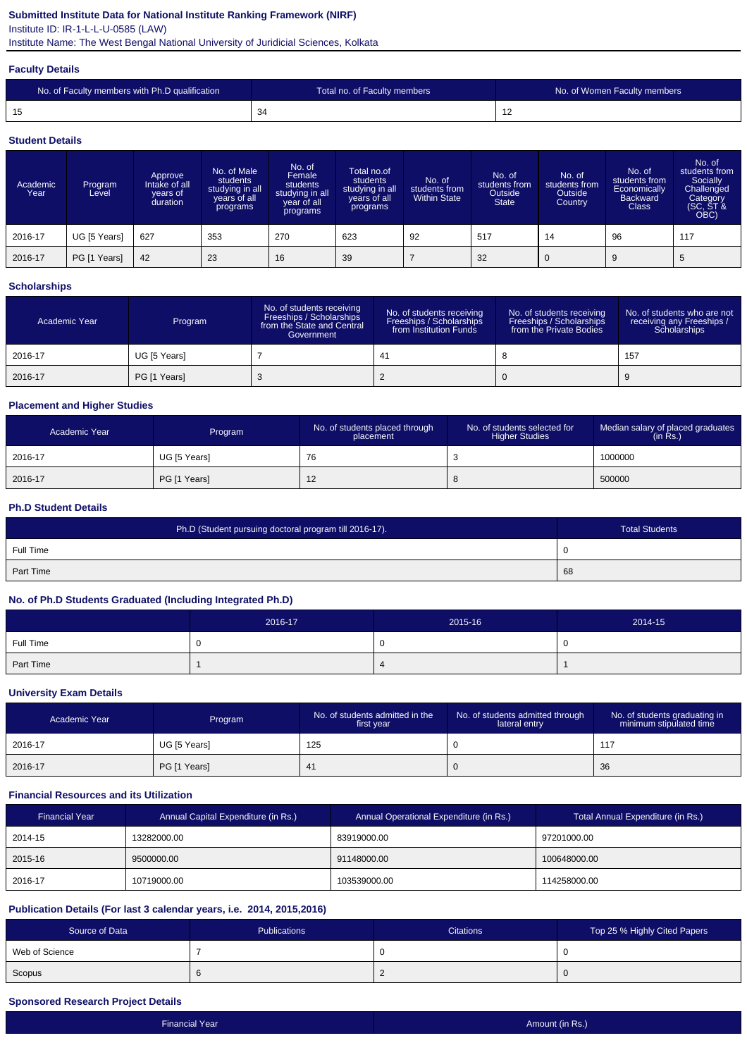## **Submitted Institute Data for National Institute Ranking Framework (NIRF)**

Institute ID: IR-1-L-L-U-0585 (LAW)

Institute Name: The West Bengal National University of Juridicial Sciences, Kolkata

#### **Faculty Details**

| No. of Faculty members with Ph.D qualification | Total no. of Faculty members | No. of Women Faculty members |
|------------------------------------------------|------------------------------|------------------------------|
| 15                                             | -34                          | . .                          |

#### **Student Details**

| Academic<br>Year | Program<br>Level | Approve<br>Intake of all<br>vears of<br>duration | No. of Male<br>students<br>studying in all<br>vears of all<br>programs | No. of<br>Female<br>students<br>studying in all<br>year of all<br>programs | Total no.of<br>students<br>studying in all<br>years of all<br>programs | No. of<br>students from<br><b>Within State</b> | No. of<br>students from<br><b>Outside</b><br><b>State</b> | No. of<br>students from<br>Outside<br>Country | No. of<br>students from<br>Economically<br><b>Backward</b><br><b>Class</b> | No. of<br>students from<br>Socially<br>Challenged<br>Category<br>(SC, ST &<br>OBC) |
|------------------|------------------|--------------------------------------------------|------------------------------------------------------------------------|----------------------------------------------------------------------------|------------------------------------------------------------------------|------------------------------------------------|-----------------------------------------------------------|-----------------------------------------------|----------------------------------------------------------------------------|------------------------------------------------------------------------------------|
| 2016-17          | UG [5 Years]     | 627                                              | 353                                                                    | 270                                                                        | 623                                                                    | 92                                             | 517                                                       | 14                                            | 96                                                                         | 117                                                                                |
| 2016-17          | PG [1 Years]     | 42                                               | 23                                                                     | 16                                                                         | 39                                                                     |                                                | 32                                                        |                                               | 9                                                                          | 5                                                                                  |

### **Scholarships**

| Academic Year | Program      | No. of students receiving<br>Freeships / Scholarships<br>from the State and Central<br>Government | No. of students receiving<br>Freeships / Scholarships<br>from Institution Funds | No. of students receiving<br>Freeships / Scholarships<br>from the Private Bodies | No. of students who are not<br>receiving any Freeships /<br>Scholarships |
|---------------|--------------|---------------------------------------------------------------------------------------------------|---------------------------------------------------------------------------------|----------------------------------------------------------------------------------|--------------------------------------------------------------------------|
| 2016-17       | UG [5 Years] |                                                                                                   | 41                                                                              |                                                                                  | 157                                                                      |
| 2016-17       | PG [1 Years] |                                                                                                   |                                                                                 |                                                                                  |                                                                          |

## **Placement and Higher Studies**

| Academic Year | Program      | No. of students placed through<br>placement | No. of students selected for<br><b>Higher Studies</b> | Median salary of placed graduates<br>(in Rs.) |
|---------------|--------------|---------------------------------------------|-------------------------------------------------------|-----------------------------------------------|
| 2016-17       | UG [5 Years] | 76                                          | ు                                                     | 1000000                                       |
| 2016-17       | PG [1 Years] | $\epsilon$                                  | ്                                                     | 500000                                        |

#### **Ph.D Student Details**

| Ph.D (Student pursuing doctoral program till 2016-17). | <b>Total Students</b> |
|--------------------------------------------------------|-----------------------|
| Full Time                                              | ັ                     |
| Part Time                                              | 68                    |

### **No. of Ph.D Students Graduated (Including Integrated Ph.D)**

|           | 2016-17 | 2015-16 | 2014-15  |
|-----------|---------|---------|----------|
| Full Time |         |         | <b>U</b> |
| Part Time |         |         |          |

#### **University Exam Details**

| Academic Year | Program      | No. of students admitted in the<br>first year | No. of students admitted through<br>lateral entry | No. of students graduating in<br>minimum stipulated time |
|---------------|--------------|-----------------------------------------------|---------------------------------------------------|----------------------------------------------------------|
| 2016-17       | UG [5 Years] | 125                                           |                                                   |                                                          |
| 2016-17       | PG [1 Years] | $\mathbf{4}$                                  |                                                   | 36                                                       |

### **Financial Resources and its Utilization**

| <b>Financial Year</b> | Annual Capital Expenditure (in Rs.) | Annual Operational Expenditure (in Rs.) | Total Annual Expenditure (in Rs.) |
|-----------------------|-------------------------------------|-----------------------------------------|-----------------------------------|
| 2014-15               | 13282000.00                         | 83919000.00                             | 97201000.00                       |
| 2015-16               | 9500000.00                          | 91148000.00                             | 100648000.00                      |
| 2016-17               | 10719000.00                         | 103539000.00                            | 114258000.00                      |

### **Publication Details (For last 3 calendar years, i.e. 2014, 2015,2016)**

| Source of Data | <b>Publications</b> | <b>Citations</b> | Top 25 % Highly Cited Papers |
|----------------|---------------------|------------------|------------------------------|
| Web of Science |                     |                  |                              |
| Scopus         |                     |                  |                              |

### **Sponsored Research Project Details**

| <b>Financial Year</b> | Amount (in Rs.) |
|-----------------------|-----------------|
|                       |                 |